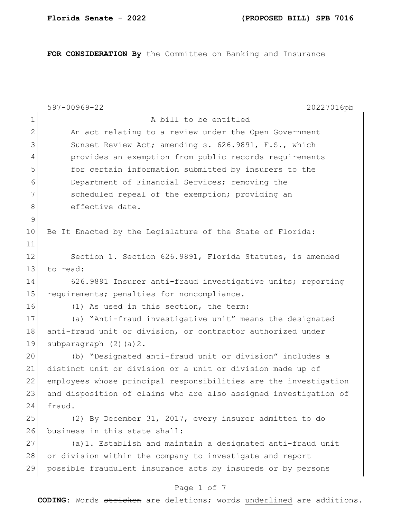**FOR CONSIDERATION By** the Committee on Banking and Insurance

|                                                                              | 597-00969-22<br>20227016pb                                       |  |  |  |
|------------------------------------------------------------------------------|------------------------------------------------------------------|--|--|--|
| $\mathbf 1$                                                                  | A bill to be entitled                                            |  |  |  |
| $\mathbf{2}$                                                                 | An act relating to a review under the Open Government            |  |  |  |
| 3                                                                            | Sunset Review Act; amending s. 626.9891, F.S., which             |  |  |  |
| 4                                                                            | provides an exemption from public records requirements           |  |  |  |
| 5                                                                            | for certain information submitted by insurers to the             |  |  |  |
| 6                                                                            | Department of Financial Services; removing the                   |  |  |  |
| 7                                                                            | scheduled repeal of the exemption; providing an                  |  |  |  |
| 8                                                                            | effective date.                                                  |  |  |  |
| $\mathsf 9$                                                                  |                                                                  |  |  |  |
| 10                                                                           | Be It Enacted by the Leqislature of the State of Florida:        |  |  |  |
| 11                                                                           |                                                                  |  |  |  |
| 12                                                                           | Section 1. Section 626.9891, Florida Statutes, is amended        |  |  |  |
| 13                                                                           | to read:                                                         |  |  |  |
| 14                                                                           | 626.9891 Insurer anti-fraud investigative units; reporting       |  |  |  |
| 15                                                                           | requirements; penalties for noncompliance.-                      |  |  |  |
| 16                                                                           | (1) As used in this section, the term:                           |  |  |  |
| 17                                                                           | (a) "Anti-fraud investigative unit" means the designated         |  |  |  |
| 18                                                                           | anti-fraud unit or division, or contractor authorized under      |  |  |  |
| 19                                                                           | subparagraph $(2)$ $(a)$ $2$ .                                   |  |  |  |
| 20                                                                           | (b) "Designated anti-fraud unit or division" includes a          |  |  |  |
| 21                                                                           | distinct unit or division or a unit or division made up of       |  |  |  |
| 22                                                                           | employees whose principal responsibilities are the investigation |  |  |  |
| 23                                                                           | and disposition of claims who are also assigned investigation of |  |  |  |
| 24                                                                           | fraud.                                                           |  |  |  |
| 25                                                                           | (2) By December 31, 2017, every insurer admitted to do           |  |  |  |
| 26                                                                           | business in this state shall:                                    |  |  |  |
| 27                                                                           | (a) 1. Establish and maintain a designated anti-fraud unit       |  |  |  |
| 28                                                                           | or division within the company to investigate and report         |  |  |  |
| 29                                                                           | possible fraudulent insurance acts by insureds or by persons     |  |  |  |
| Page 1 of 7                                                                  |                                                                  |  |  |  |
| <b>CODING:</b> Words stricken are deletions; words underlined are additions. |                                                                  |  |  |  |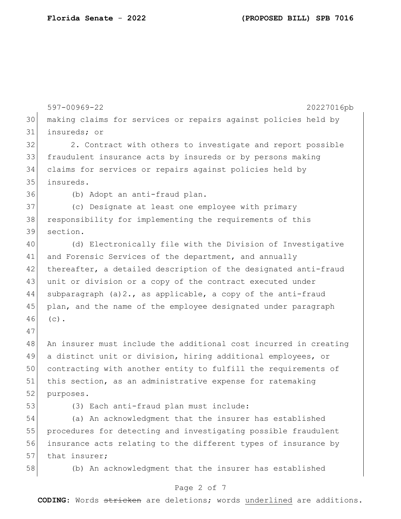597-00969-22 20227016pb 30 making claims for services or repairs against policies held by 31 insureds; or 32 2. Contract with others to investigate and report possible 33 fraudulent insurance acts by insureds or by persons making 34 claims for services or repairs against policies held by 35 insureds. 36 (b) Adopt an anti-fraud plan. 37 (c) Designate at least one employee with primary 38 responsibility for implementing the requirements of this 39 section. 40 (d) Electronically file with the Division of Investigative 41 and Forensic Services of the department, and annually 42 thereafter, a detailed description of the designated anti-fraud 43 unit or division or a copy of the contract executed under 44 subparagraph (a)  $2.7$ , as applicable, a copy of the anti-fraud 45 plan, and the name of the employee designated under paragraph 46 (c). 47 48 An insurer must include the additional cost incurred in creating 49 a distinct unit or division, hiring additional employees, or 50 contracting with another entity to fulfill the requirements of 51 this section, as an administrative expense for ratemaking 52 purposes. 53 (3) Each anti-fraud plan must include: 54 (a) An acknowledgment that the insurer has established 55 procedures for detecting and investigating possible fraudulent 56 insurance acts relating to the different types of insurance by 57 that insurer; 58 (b) An acknowledgment that the insurer has established

### Page 2 of 7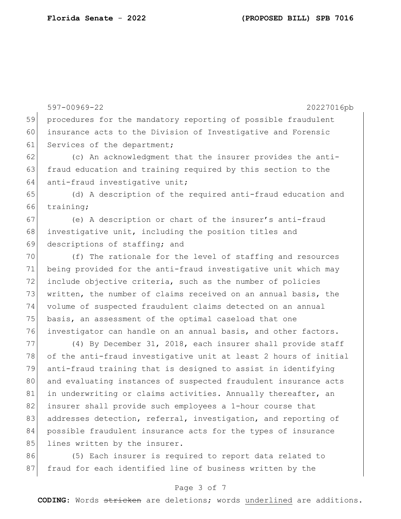|               | 597-00969-22<br>20227016pb                                       |
|---------------|------------------------------------------------------------------|
| 59            | procedures for the mandatory reporting of possible fraudulent    |
| 60            | insurance acts to the Division of Investigative and Forensic     |
| 61            | Services of the department;                                      |
| 62            | (c) An acknowledgment that the insurer provides the anti-        |
| 63            | fraud education and training required by this section to the     |
| 64            | anti-fraud investigative unit;                                   |
| 65            | (d) A description of the required anti-fraud education and       |
| 66            | training;                                                        |
| 67            | (e) A description or chart of the insurer's anti-fraud           |
| 68            | investigative unit, including the position titles and            |
| 69            | descriptions of staffing; and                                    |
| 70            | (f) The rationale for the level of staffing and resources        |
| 71            | being provided for the anti-fraud investigative unit which may   |
| 72            | include objective criteria, such as the number of policies       |
| 73            | written, the number of claims received on an annual basis, the   |
| 74            | volume of suspected fraudulent claims detected on an annual      |
| 75            | basis, an assessment of the optimal caseload that one            |
| 76            | investigator can handle on an annual basis, and other factors.   |
| 77            | (4) By December 31, 2018, each insurer shall provide staff       |
| 78            | of the anti-fraud investigative unit at least 2 hours of initial |
| 79            | anti-fraud training that is designed to assist in identifying    |
| 80            | and evaluating instances of suspected fraudulent insurance acts  |
| 81            | in underwriting or claims activities. Annually thereafter, an    |
| 82            | insurer shall provide such employees a 1-hour course that        |
| 83            | addresses detection, referral, investigation, and reporting of   |
| 84            | possible fraudulent insurance acts for the types of insurance    |
| 85            | lines written by the insurer.                                    |
| $\cap$ $\cap$ |                                                                  |

86 (5) Each insurer is required to report data related to 87 fraud for each identified line of business written by the

## Page 3 of 7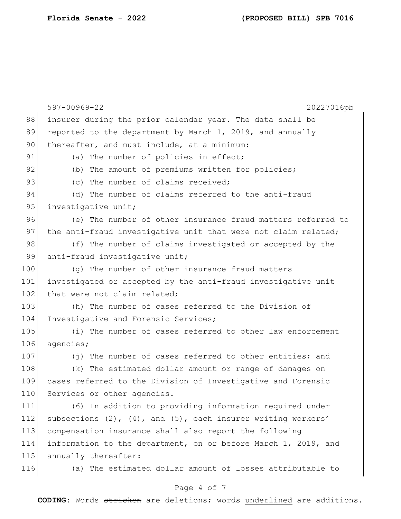|     | 597-00969-22<br>20227016pb                                            |  |  |  |
|-----|-----------------------------------------------------------------------|--|--|--|
| 88  | insurer during the prior calendar year. The data shall be             |  |  |  |
| 89  | reported to the department by March 1, 2019, and annually             |  |  |  |
| 90  | thereafter, and must include, at a minimum:                           |  |  |  |
| 91  | (a) The number of policies in effect;                                 |  |  |  |
| 92  | (b) The amount of premiums written for policies;                      |  |  |  |
| 93  | (c) The number of claims received;                                    |  |  |  |
| 94  | (d) The number of claims referred to the anti-fraud                   |  |  |  |
| 95  | investigative unit;                                                   |  |  |  |
| 96  | (e) The number of other insurance fraud matters referred to           |  |  |  |
| 97  | the anti-fraud investigative unit that were not claim related;        |  |  |  |
| 98  | (f) The number of claims investigated or accepted by the              |  |  |  |
| 99  | anti-fraud investigative unit;                                        |  |  |  |
| 100 | (g) The number of other insurance fraud matters                       |  |  |  |
| 101 | investigated or accepted by the anti-fraud investigative unit         |  |  |  |
| 102 | that were not claim related;                                          |  |  |  |
| 103 | (h) The number of cases referred to the Division of                   |  |  |  |
| 104 | Investigative and Forensic Services;                                  |  |  |  |
| 105 | (i) The number of cases referred to other law enforcement             |  |  |  |
| 106 | agencies;                                                             |  |  |  |
| 107 | (j) The number of cases referred to other entities; and               |  |  |  |
| 108 | (k) The estimated dollar amount or range of damages on                |  |  |  |
| 109 | cases referred to the Division of Investigative and Forensic          |  |  |  |
| 110 | Services or other agencies.                                           |  |  |  |
| 111 | (6) In addition to providing information required under               |  |  |  |
| 112 | subsections $(2)$ , $(4)$ , and $(5)$ , each insurer writing workers' |  |  |  |
| 113 | compensation insurance shall also report the following                |  |  |  |
| 114 | information to the department, on or before March 1, 2019, and        |  |  |  |
| 115 | annually thereafter:                                                  |  |  |  |
| 116 | (a) The estimated dollar amount of losses attributable to             |  |  |  |

# Page 4 of 7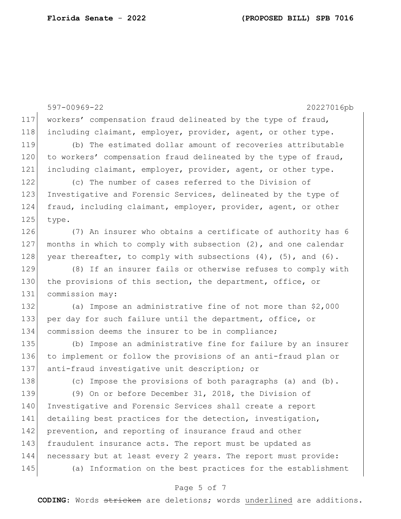597-00969-22 20227016pb 117 workers' compensation fraud delineated by the type of fraud, 118 including claimant, employer, provider, agent, or other type. 119 (b) The estimated dollar amount of recoveries attributable 120 to workers' compensation fraud delineated by the type of fraud, 121 including claimant, employer, provider, agent, or other type. 122 (c) The number of cases referred to the Division of 123 Investigative and Forensic Services, delineated by the type of 124 fraud, including claimant, employer, provider, agent, or other 125 type. 126 (7) An insurer who obtains a certificate of authority has 6 127 months in which to comply with subsection (2), and one calendar 128 year thereafter, to comply with subsections  $(4)$ ,  $(5)$ , and  $(6)$ . 129 (8) If an insurer fails or otherwise refuses to comply with 130 the provisions of this section, the department, office, or 131 commission may: 132 (a) Impose an administrative fine of not more than \$2,000 133 per day for such failure until the department, office, or 134 commission deems the insurer to be in compliance; 135 (b) Impose an administrative fine for failure by an insurer 136 to implement or follow the provisions of an anti-fraud plan or 137 anti-fraud investigative unit description; or 138 (c) Impose the provisions of both paragraphs (a) and (b). 139 (9) On or before December 31, 2018, the Division of 140 Investigative and Forensic Services shall create a report 141 detailing best practices for the detection, investigation, 142 prevention, and reporting of insurance fraud and other 143 fraudulent insurance acts. The report must be updated as 144 necessary but at least every 2 years. The report must provide: 145 (a) Information on the best practices for the establishment

### Page 5 of 7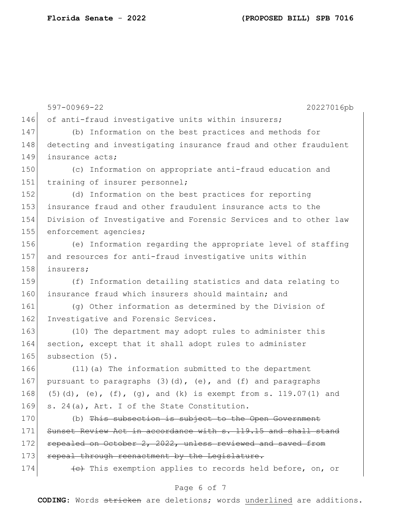597-00969-22 20227016pb 146 of anti-fraud investigative units within insurers; 147 (b) Information on the best practices and methods for 148 detecting and investigating insurance fraud and other fraudulent 149 insurance acts; 150 (c) Information on appropriate anti-fraud education and 151 training of insurer personnel; 152 (d) Information on the best practices for reporting 153 insurance fraud and other fraudulent insurance acts to the 154 Division of Investigative and Forensic Services and to other law 155 enforcement agencies; 156 (e) Information regarding the appropriate level of staffing 157 and resources for anti-fraud investigative units within 158 insurers; 159 (f) Information detailing statistics and data relating to 160 insurance fraud which insurers should maintain; and 161 (g) Other information as determined by the Division of 162 Investigative and Forensic Services. 163 (10) The department may adopt rules to administer this 164 section, except that it shall adopt rules to administer 165 subsection (5). 166 (11)(a) The information submitted to the department 167 pursuant to paragraphs  $(3)(d)$ ,  $(e)$ , and  $(f)$  and paragraphs 168 (5)(d), (e),  $(f)$ , (g), and (k) is exempt from s. 119.07(1) and 169 s. 24(a), Art. I of the State Constitution. 170 (b) This subsection is subject to the Open Government 171 Sunset Review Act in accordance with s. 119.15 and shall stand 172 repealed on October 2, 2022, unless reviewed and saved from 173 repeal through reenactment by the Legislature. 174 **(e)** This exemption applies to records held before, on, or

### Page 6 of 7